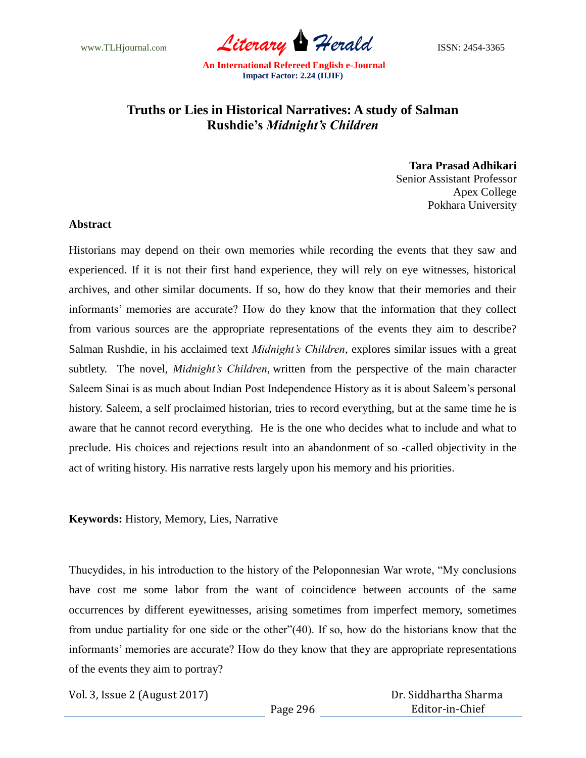www.TLHjournal.com *Literary Herald* ISSN: 2454-3365

## **Truths or Lies in Historical Narratives: A study of Salman Rushdie's** *Midnight's Children*

**Tara Prasad Adhikari** Senior Assistant Professor Apex College Pokhara University

## **Abstract**

Historians may depend on their own memories while recording the events that they saw and experienced. If it is not their first hand experience, they will rely on eye witnesses, historical archives, and other similar documents. If so, how do they know that their memories and their informants' memories are accurate? How do they know that the information that they collect from various sources are the appropriate representations of the events they aim to describe? Salman Rushdie, in his acclaimed text *Midnight's Children*, explores similar issues with a great subtlety. The novel, *Midnight's Children*, written from the perspective of the main character Saleem Sinai is as much about Indian Post Independence History as it is about Saleem"s personal history. Saleem, a self proclaimed historian, tries to record everything, but at the same time he is aware that he cannot record everything. He is the one who decides what to include and what to preclude. His choices and rejections result into an abandonment of so -called objectivity in the act of writing history. His narrative rests largely upon his memory and his priorities.

**Keywords:** History, Memory, Lies, Narrative

Thucydides, in his introduction to the history of the Peloponnesian War wrote, "My conclusions have cost me some labor from the want of coincidence between accounts of the same occurrences by different eyewitnesses, arising sometimes from imperfect memory, sometimes from undue partiality for one side or the other"(40). If so, how do the historians know that the informants' memories are accurate? How do they know that they are appropriate representations of the events they aim to portray?

Vol. 3, Issue 2 (August 2017)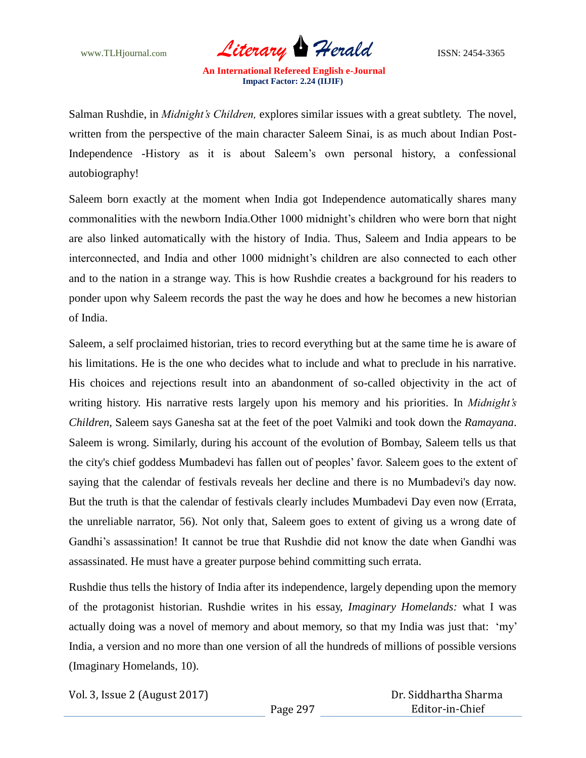

Salman Rushdie, in *Midnight's Children,* explores similar issues with a great subtlety. The novel, written from the perspective of the main character Saleem Sinai, is as much about Indian Post-Independence -History as it is about Saleem"s own personal history, a confessional autobiography!

Saleem born exactly at the moment when India got Independence automatically shares many commonalities with the newborn India.Other 1000 midnight"s children who were born that night are also linked automatically with the history of India. Thus, Saleem and India appears to be interconnected, and India and other 1000 midnight's children are also connected to each other and to the nation in a strange way. This is how Rushdie creates a background for his readers to ponder upon why Saleem records the past the way he does and how he becomes a new historian of India.

Saleem, a self proclaimed historian, tries to record everything but at the same time he is aware of his limitations. He is the one who decides what to include and what to preclude in his narrative. His choices and rejections result into an abandonment of so-called objectivity in the act of writing history. His narrative rests largely upon his memory and his priorities. In *Midnight's Children*, Saleem says Ganesha sat at the feet of the poet Valmiki and took down the *Ramayana*. Saleem is wrong. Similarly, during his account of the evolution of Bombay, Saleem tells us that the city's chief goddess Mumbadevi has fallen out of peoples" favor. Saleem goes to the extent of saying that the calendar of festivals reveals her decline and there is no Mumbadevi's day now. But the truth is that the calendar of festivals clearly includes Mumbadevi Day even now (Errata, the unreliable narrator, 56). Not only that, Saleem goes to extent of giving us a wrong date of Gandhi"s assassination! It cannot be true that Rushdie did not know the date when Gandhi was assassinated. He must have a greater purpose behind committing such errata.

Rushdie thus tells the history of India after its independence, largely depending upon the memory of the protagonist historian. Rushdie writes in his essay, *Imaginary Homelands:* what I was actually doing was a novel of memory and about memory, so that my India was just that: "my" India, a version and no more than one version of all the hundreds of millions of possible versions (Imaginary Homelands, 10).

Vol. 3, Issue 2 (August 2017)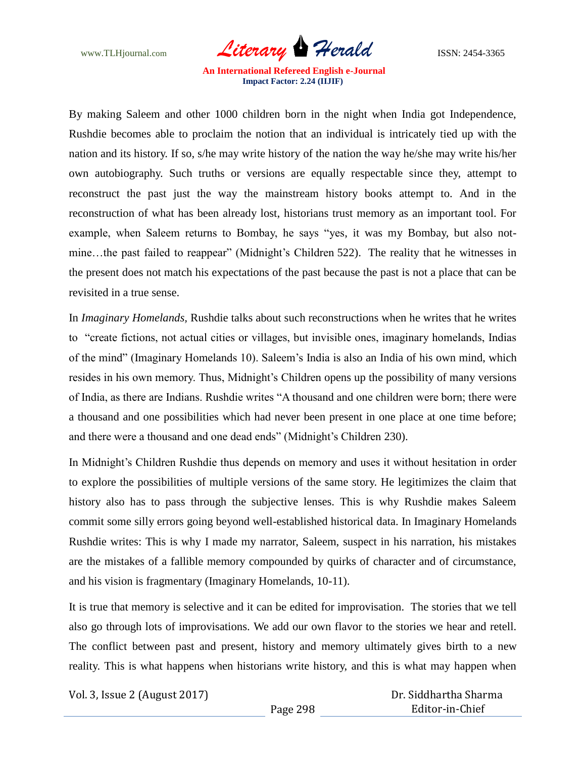www.TLHjournal.com *Literary Herald*ISSN: 2454-3365

By making Saleem and other 1000 children born in the night when India got Independence, Rushdie becomes able to proclaim the notion that an individual is intricately tied up with the nation and its history. If so, s/he may write history of the nation the way he/she may write his/her own autobiography. Such truths or versions are equally respectable since they, attempt to reconstruct the past just the way the mainstream history books attempt to. And in the reconstruction of what has been already lost, historians trust memory as an important tool. For example, when Saleem returns to Bombay, he says "yes, it was my Bombay, but also notmine…the past failed to reappear" (Midnight's Children 522). The reality that he witnesses in the present does not match his expectations of the past because the past is not a place that can be revisited in a true sense.

In *Imaginary Homelands,* Rushdie talks about such reconstructions when he writes that he writes to "create fictions, not actual cities or villages, but invisible ones, imaginary homelands, Indias of the mind" (Imaginary Homelands 10). Saleem"s India is also an India of his own mind, which resides in his own memory. Thus, Midnight's Children opens up the possibility of many versions of India, as there are Indians. Rushdie writes "A thousand and one children were born; there were a thousand and one possibilities which had never been present in one place at one time before; and there were a thousand and one dead ends" (Midnight's Children 230).

In Midnight's Children Rushdie thus depends on memory and uses it without hesitation in order to explore the possibilities of multiple versions of the same story. He legitimizes the claim that history also has to pass through the subjective lenses. This is why Rushdie makes Saleem commit some silly errors going beyond well-established historical data. In Imaginary Homelands Rushdie writes: This is why I made my narrator, Saleem, suspect in his narration, his mistakes are the mistakes of a fallible memory compounded by quirks of character and of circumstance, and his vision is fragmentary (Imaginary Homelands, 10-11).

It is true that memory is selective and it can be edited for improvisation. The stories that we tell also go through lots of improvisations. We add our own flavor to the stories we hear and retell. The conflict between past and present, history and memory ultimately gives birth to a new reality. This is what happens when historians write history, and this is what may happen when

Vol. 3, Issue 2 (August 2017)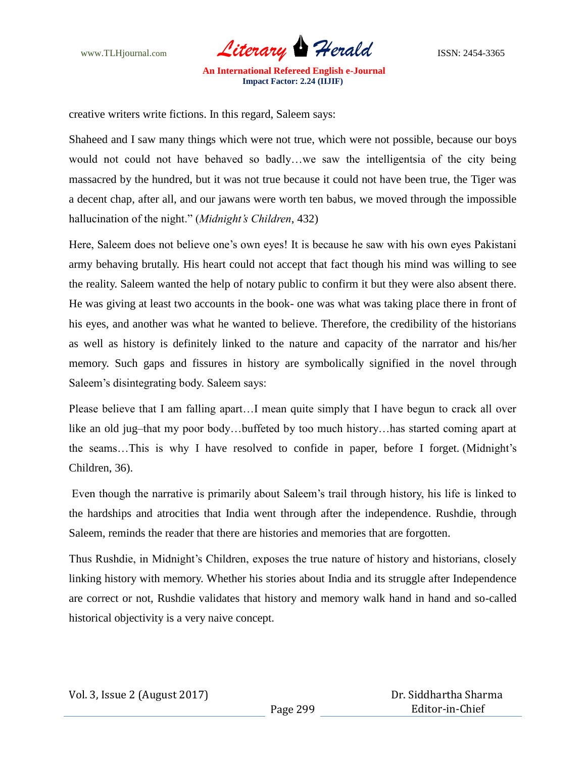

creative writers write fictions. In this regard, Saleem says:

Shaheed and I saw many things which were not true, which were not possible, because our boys would not could not have behaved so badly…we saw the intelligentsia of the city being massacred by the hundred, but it was not true because it could not have been true, the Tiger was a decent chap, after all, and our jawans were worth ten babus, we moved through the impossible hallucination of the night." (*Midnight's Children*, 432)

Here, Saleem does not believe one"s own eyes! It is because he saw with his own eyes Pakistani army behaving brutally. His heart could not accept that fact though his mind was willing to see the reality. Saleem wanted the help of notary public to confirm it but they were also absent there. He was giving at least two accounts in the book- one was what was taking place there in front of his eyes, and another was what he wanted to believe. Therefore, the credibility of the historians as well as history is definitely linked to the nature and capacity of the narrator and his/her memory. Such gaps and fissures in history are symbolically signified in the novel through Saleem"s disintegrating body. Saleem says:

Please believe that I am falling apart…I mean quite simply that I have begun to crack all over like an old jug–that my poor body…buffeted by too much history…has started coming apart at the seams…This is why I have resolved to confide in paper, before I forget. (Midnight"s Children, 36).

Even though the narrative is primarily about Saleem"s trail through history, his life is linked to the hardships and atrocities that India went through after the independence. Rushdie, through Saleem, reminds the reader that there are histories and memories that are forgotten.

Thus Rushdie, in Midnight's Children, exposes the true nature of history and historians, closely linking history with memory. Whether his stories about India and its struggle after Independence are correct or not, Rushdie validates that history and memory walk hand in hand and so-called historical objectivity is a very naive concept.